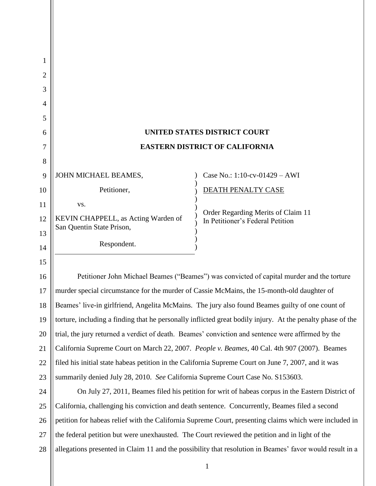| 1  |                                                                                                            |                                                                                                          |  |
|----|------------------------------------------------------------------------------------------------------------|----------------------------------------------------------------------------------------------------------|--|
| 2  |                                                                                                            |                                                                                                          |  |
| 3  |                                                                                                            |                                                                                                          |  |
| 4  |                                                                                                            |                                                                                                          |  |
| 5  |                                                                                                            |                                                                                                          |  |
| 6  |                                                                                                            | UNITED STATES DISTRICT COURT                                                                             |  |
| 7  | <b>EASTERN DISTRICT OF CALIFORNIA</b>                                                                      |                                                                                                          |  |
| 8  |                                                                                                            |                                                                                                          |  |
| 9  | JOHN MICHAEL BEAMES,                                                                                       | Case No.: 1:10-cv-01429 - AWI                                                                            |  |
| 10 | Petitioner,                                                                                                | DEATH PENALTY CASE                                                                                       |  |
| 11 | VS.                                                                                                        |                                                                                                          |  |
| 12 | KEVIN CHAPPELL, as Acting Warden of                                                                        | Order Regarding Merits of Claim 11<br>In Petitioner's Federal Petition                                   |  |
| 13 | San Quentin State Prison,                                                                                  |                                                                                                          |  |
| 14 | Respondent.                                                                                                |                                                                                                          |  |
| 15 |                                                                                                            |                                                                                                          |  |
| 16 | Petitioner John Michael Beames ("Beames") was convicted of capital murder and the torture                  |                                                                                                          |  |
| 17 | murder special circumstance for the murder of Cassie McMains, the 15-month-old daughter of                 |                                                                                                          |  |
| 18 | Beames' live-in girlfriend, Angelita McMains. The jury also found Beames guilty of one count of            |                                                                                                          |  |
| 19 | torture, including a finding that he personally inflicted great bodily injury. At the penalty phase of the |                                                                                                          |  |
| 20 | trial, the jury returned a verdict of death. Beames' conviction and sentence were affirmed by the          |                                                                                                          |  |
| 21 | California Supreme Court on March 22, 2007. People v. Beames, 40 Cal. 4th 907 (2007). Beames               |                                                                                                          |  |
| 22 | filed his initial state habeas petition in the California Supreme Court on June 7, 2007, and it was        |                                                                                                          |  |
| 23 | summarily denied July 28, 2010. See California Supreme Court Case No. S153603.                             |                                                                                                          |  |
| 24 | On July 27, 2011, Beames filed his petition for writ of habeas corpus in the Eastern District of           |                                                                                                          |  |
| 25 | California, challenging his conviction and death sentence. Concurrently, Beames filed a second             |                                                                                                          |  |
| 26 |                                                                                                            | petition for habeas relief with the California Supreme Court, presenting claims which were included in   |  |
| 27 | the federal petition but were unexhausted. The Court reviewed the petition and in light of the             |                                                                                                          |  |
| 28 |                                                                                                            | allegations presented in Claim 11 and the possibility that resolution in Beames' favor would result in a |  |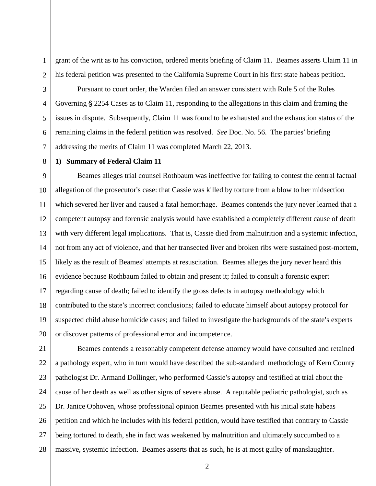grant of the writ as to his conviction, ordered merits briefing of Claim 11. Beames asserts Claim 11 in his federal petition was presented to the California Supreme Court in his first state habeas petition.

1

Pursuant to court order, the Warden filed an answer consistent with Rule 5 of the Rules Governing § 2254 Cases as to Claim 11, responding to the allegations in this claim and framing the issues in dispute. Subsequently, Claim 11 was found to be exhausted and the exhaustion status of the remaining claims in the federal petition was resolved. *See* Doc. No. 56. The parties' briefing addressing the merits of Claim 11 was completed March 22, 2013.

# **1) Summary of Federal Claim 11**

Beames alleges trial counsel Rothbaum was ineffective for failing to contest the central factual allegation of the prosecutor's case: that Cassie was killed by torture from a blow to her midsection which severed her liver and caused a fatal hemorrhage. Beames contends the jury never learned that a competent autopsy and forensic analysis would have established a completely different cause of death with very different legal implications. That is, Cassie died from malnutrition and a systemic infection, not from any act of violence, and that her transected liver and broken ribs were sustained post-mortem, likely as the result of Beames' attempts at resuscitation. Beames alleges the jury never heard this evidence because Rothbaum failed to obtain and present it; failed to consult a forensic expert regarding cause of death; failed to identify the gross defects in autopsy methodology which contributed to the state's incorrect conclusions; failed to educate himself about autopsy protocol for suspected child abuse homicide cases; and failed to investigate the backgrounds of the state's experts or discover patterns of professional error and incompetence.

27 28 Beames contends a reasonably competent defense attorney would have consulted and retained a pathology expert, who in turn would have described the sub-standard methodology of Kern County pathologist Dr. Armand Dollinger, who performed Cassie's autopsy and testified at trial about the cause of her death as well as other signs of severe abuse. A reputable pediatric pathologist, such as Dr. Janice Ophoven, whose professional opinion Beames presented with his initial state habeas petition and which he includes with his federal petition, would have testified that contrary to Cassie being tortured to death, she in fact was weakened by malnutrition and ultimately succumbed to a massive, systemic infection. Beames asserts that as such, he is at most guilty of manslaughter.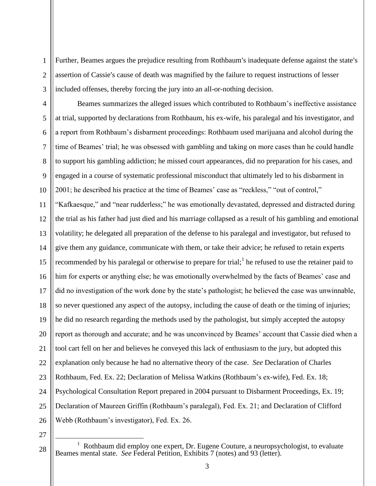Further, Beames argues the prejudice resulting from Rothbaum's inadequate defense against the state's assertion of Cassie's cause of death was magnified by the failure to request instructions of lesser included offenses, thereby forcing the jury into an all-or-nothing decision.

4 5 6 7 8  $\overline{Q}$ 10 11 12 13 14 15 16 17 18 19 20 21 22 23 24 25 26 Beames summarizes the alleged issues which contributed to Rothbaum's ineffective assistance at trial, supported by declarations from Rothbaum, his ex-wife, his paralegal and his investigator, and a report from Rothbaum's disbarment proceedings: Rothbaum used marijuana and alcohol during the time of Beames' trial; he was obsessed with gambling and taking on more cases than he could handle to support his gambling addiction; he missed court appearances, did no preparation for his cases, and engaged in a course of systematic professional misconduct that ultimately led to his disbarment in 2001; he described his practice at the time of Beames' case as "reckless," "out of control," "Kafkaesque," and "near rudderless;" he was emotionally devastated, depressed and distracted during the trial as his father had just died and his marriage collapsed as a result of his gambling and emotional volatility; he delegated all preparation of the defense to his paralegal and investigator, but refused to give them any guidance, communicate with them, or take their advice; he refused to retain experts recommended by his paralegal or otherwise to prepare for trial;<sup>1</sup> he refused to use the retainer paid to him for experts or anything else; he was emotionally overwhelmed by the facts of Beames' case and did no investigation of the work done by the state's pathologist; he believed the case was unwinnable, so never questioned any aspect of the autopsy, including the cause of death or the timing of injuries; he did no research regarding the methods used by the pathologist, but simply accepted the autopsy report as thorough and accurate; and he was unconvinced by Beames' account that Cassie died when a tool cart fell on her and believes he conveyed this lack of enthusiasm to the jury, but adopted this explanation only because he had no alternative theory of the case. *See* Declaration of Charles Rothbaum, Fed. Ex. 22; Declaration of Melissa Watkins (Rothbaum's ex-wife), Fed. Ex. 18; Psychological Consultation Report prepared in 2004 pursuant to Disbarment Proceedings, Ex. 19; Declaration of Maureen Griffin (Rothbaum's paralegal), Fed. Ex. 21; and Declaration of Clifford Webb (Rothbaum's investigator), Fed. Ex. 26.

27

 $\overline{a}$ 

28

1

 $\overline{2}$ 

<sup>&</sup>lt;sup>1</sup> Rothbaum did employ one expert, Dr. Eugene Couture, a neuropsychologist, to evaluate Beames mental state. *See* Federal Petition, Exhibits 7 (notes) and 93 (letter).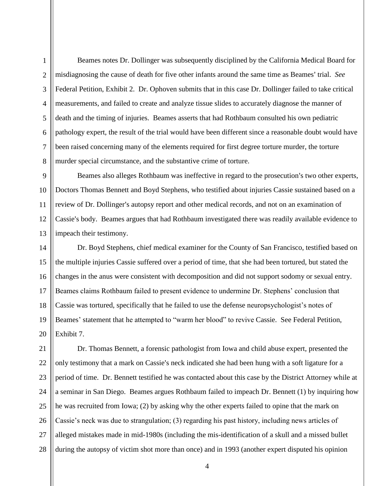1

 $\mathfrak{D}$ 

3

4

5

Beames notes Dr. Dollinger was subsequently disciplined by the California Medical Board for misdiagnosing the cause of death for five other infants around the same time as Beames' trial. *See* Federal Petition, Exhibit 2. Dr. Ophoven submits that in this case Dr. Dollinger failed to take critical measurements, and failed to create and analyze tissue slides to accurately diagnose the manner of death and the timing of injuries. Beames asserts that had Rothbaum consulted his own pediatric pathology expert, the result of the trial would have been different since a reasonable doubt would have been raised concerning many of the elements required for first degree torture murder, the torture murder special circumstance, and the substantive crime of torture.

Beames also alleges Rothbaum was ineffective in regard to the prosecution's two other experts, Doctors Thomas Bennett and Boyd Stephens, who testified about injuries Cassie sustained based on a review of Dr. Dollinger's autopsy report and other medical records, and not on an examination of Cassie's body. Beames argues that had Rothbaum investigated there was readily available evidence to impeach their testimony.

Dr. Boyd Stephens, chief medical examiner for the County of San Francisco, testified based on the multiple injuries Cassie suffered over a period of time, that she had been tortured, but stated the changes in the anus were consistent with decomposition and did not support sodomy or sexual entry. Beames claims Rothbaum failed to present evidence to undermine Dr. Stephens' conclusion that Cassie was tortured, specifically that he failed to use the defense neuropsychologist's notes of Beames' statement that he attempted to "warm her blood" to revive Cassie. See Federal Petition, Exhibit 7.

28 Dr. Thomas Bennett, a forensic pathologist from Iowa and child abuse expert, presented the only testimony that a mark on Cassie's neck indicated she had been hung with a soft ligature for a period of time. Dr. Bennett testified he was contacted about this case by the District Attorney while at a seminar in San Diego. Beames argues Rothbaum failed to impeach Dr. Bennett (1) by inquiring how he was recruited from Iowa; (2) by asking why the other experts failed to opine that the mark on Cassie's neck was due to strangulation; (3) regarding his past history, including news articles of alleged mistakes made in mid-1980s (including the mis-identification of a skull and a missed bullet during the autopsy of victim shot more than once) and in 1993 (another expert disputed his opinion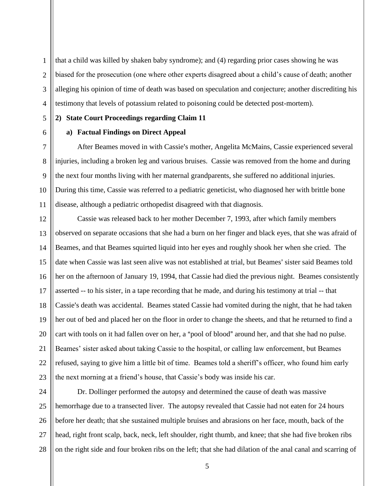1  $\overline{2}$ 3 4 that a child was killed by shaken baby syndrome); and (4) regarding prior cases showing he was biased for the prosecution (one where other experts disagreed about a child's cause of death; another alleging his opinion of time of death was based on speculation and conjecture; another discrediting his testimony that levels of potassium related to poisoning could be detected post-mortem).

**2) State Court Proceedings regarding Claim 11** 

5

6

7

8

9

10

11

# **a) Factual Findings on Direct Appeal**

After Beames moved in with Cassie's mother, Angelita McMains, Cassie experienced several injuries, including a broken leg and various bruises. Cassie was removed from the home and during the next four months living with her maternal grandparents, she suffered no additional injuries. During this time, Cassie was referred to a pediatric geneticist, who diagnosed her with brittle bone disease, although a pediatric orthopedist disagreed with that diagnosis.

12 13 14 15 16 17 18 19 20 21 22 23 Cassie was released back to her mother December 7, 1993, after which family members observed on separate occasions that she had a burn on her finger and black eyes, that she was afraid of Beames, and that Beames squirted liquid into her eyes and roughly shook her when she cried. The date when Cassie was last seen alive was not established at trial, but Beames' sister said Beames told her on the afternoon of January 19, 1994, that Cassie had died the previous night. Beames consistently asserted -- to his sister, in a tape recording that he made, and during his testimony at trial -- that Cassie's death was accidental. Beames stated Cassie had vomited during the night, that he had taken her out of bed and placed her on the floor in order to change the sheets, and that he returned to find a cart with tools on it had fallen over on her, a "pool of blood" around her, and that she had no pulse. Beames' sister asked about taking Cassie to the hospital, or calling law enforcement, but Beames refused, saying to give him a little bit of time. Beames told a sheriff's officer, who found him early the next morning at a friend's house, that Cassie's body was inside his car.

24 25 26 27 28 Dr. Dollinger performed the autopsy and determined the cause of death was massive hemorrhage due to a transected liver. The autopsy revealed that Cassie had not eaten for 24 hours before her death; that she sustained multiple bruises and abrasions on her face, mouth, back of the head, right front scalp, back, neck, left shoulder, right thumb, and knee; that she had five broken ribs on the right side and four broken ribs on the left; that she had dilation of the anal canal and scarring of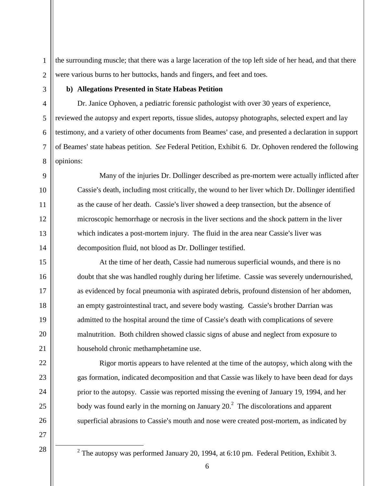$\overline{2}$ the surrounding muscle; that there was a large laceration of the top left side of her head, and that there were various burns to her buttocks, hands and fingers, and feet and toes.

1

3

4

5

6

7

8

9

10

11

12

13

14

15

16

17

18

19

20

21

22

23

24

25

26

# **b) Allegations Presented in State Habeas Petition**

Dr. Janice Ophoven, a pediatric forensic pathologist with over 30 years of experience, reviewed the autopsy and expert reports, tissue slides, autopsy photographs, selected expert and lay testimony, and a variety of other documents from Beames' case, and presented a declaration in support of Beames' state habeas petition. *See* Federal Petition, Exhibit 6. Dr. Ophoven rendered the following opinions:

Many of the injuries Dr. Dollinger described as pre-mortem were actually inflicted after Cassie's death, including most critically, the wound to her liver which Dr. Dollinger identified as the cause of her death. Cassie's liver showed a deep transection, but the absence of microscopic hemorrhage or necrosis in the liver sections and the shock pattern in the liver which indicates a post-mortem injury. The fluid in the area near Cassie's liver was decomposition fluid, not blood as Dr. Dollinger testified.

At the time of her death, Cassie had numerous superficial wounds, and there is no doubt that she was handled roughly during her lifetime. Cassie was severely undernourished, as evidenced by focal pneumonia with aspirated debris, profound distension of her abdomen, an empty gastrointestinal tract, and severe body wasting. Cassie's brother Darrian was admitted to the hospital around the time of Cassie's death with complications of severe malnutrition. Both children showed classic signs of abuse and neglect from exposure to household chronic methamphetamine use.

Rigor mortis appears to have relented at the time of the autopsy, which along with the gas formation, indicated decomposition and that Cassie was likely to have been dead for days prior to the autopsy. Cassie was reported missing the evening of January 19, 1994, and her body was found early in the morning on January  $20<sup>2</sup>$ . The discolorations and apparent superficial abrasions to Cassie's mouth and nose were created post-mortem, as indicated by

27 28

 $\overline{a}$ 

<sup>&</sup>lt;sup>2</sup> The autopsy was performed January 20, 1994, at 6:10 pm. Federal Petition, Exhibit 3.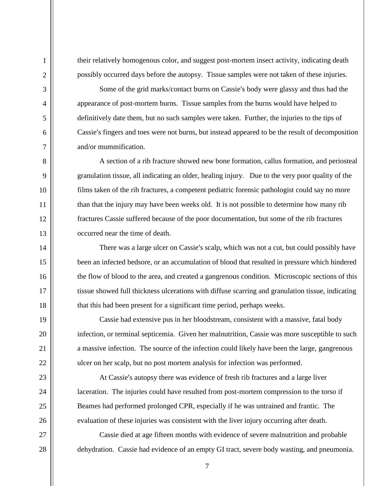their relatively homogenous color, and suggest post-mortem insect activity, indicating death possibly occurred days before the autopsy. Tissue samples were not taken of these injuries.

Some of the grid marks/contact burns on Cassie's body were glassy and thus had the appearance of post-mortem burns. Tissue samples from the burns would have helped to definitively date them, but no such samples were taken. Further, the injuries to the tips of Cassie's fingers and toes were not burns, but instead appeared to be the result of decomposition and/or mummification.

A section of a rib fracture showed new bone formation, callus formation, and periosteal granulation tissue, all indicating an older, healing injury. Due to the very poor quality of the films taken of the rib fractures, a competent pediatric forensic pathologist could say no more than that the injury may have been weeks old. It is not possible to determine how many rib fractures Cassie suffered because of the poor documentation, but some of the rib fractures occurred near the time of death.

There was a large ulcer on Cassie's scalp, which was not a cut, but could possibly have been an infected bedsore, or an accumulation of blood that resulted in pressure which hindered the flow of blood to the area, and created a gangrenous condition. Microscopic sections of this tissue showed full thickness ulcerations with diffuse scarring and granulation tissue, indicating that this had been present for a significant time period, perhaps weeks.

Cassie had extensive pus in her bloodstream, consistent with a massive, fatal body infection, or terminal septicemia. Given her malnutrition, Cassie was more susceptible to such a massive infection. The source of the infection could likely have been the large, gangrenous ulcer on her scalp, but no post mortem analysis for infection was performed.

At Cassie's autopsy there was evidence of fresh rib fractures and a large liver laceration. The injuries could have resulted from post-mortem compression to the torso if Beames had performed prolonged CPR, especially if he was untrained and frantic. The evaluation of these injuries was consistent with the liver injury occurring after death.

Cassie died at age fifteen months with evidence of severe malnutrition and probable dehydration. Cassie had evidence of an empty GI tract, severe body wasting, and pneumonia.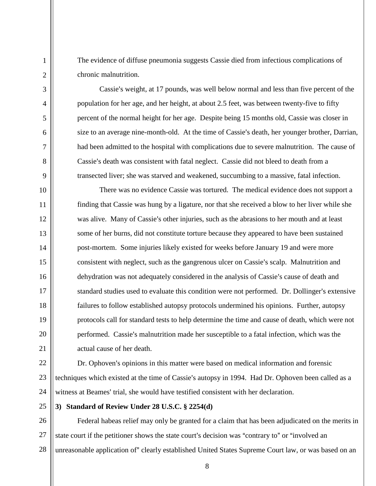The evidence of diffuse pneumonia suggests Cassie died from infectious complications of chronic malnutrition.

Cassie's weight, at 17 pounds, was well below normal and less than five percent of the population for her age, and her height, at about 2.5 feet, was between twenty-five to fifty percent of the normal height for her age. Despite being 15 months old, Cassie was closer in size to an average nine-month-old. At the time of Cassie's death, her younger brother, Darrian, had been admitted to the hospital with complications due to severe malnutrition. The cause of Cassie's death was consistent with fatal neglect. Cassie did not bleed to death from a transected liver; she was starved and weakened, succumbing to a massive, fatal infection.

There was no evidence Cassie was tortured. The medical evidence does not support a finding that Cassie was hung by a ligature, nor that she received a blow to her liver while she was alive. Many of Cassie's other injuries, such as the abrasions to her mouth and at least some of her burns, did not constitute torture because they appeared to have been sustained post-mortem. Some injuries likely existed for weeks before January 19 and were more consistent with neglect, such as the gangrenous ulcer on Cassie's scalp. Malnutrition and dehydration was not adequately considered in the analysis of Cassie's cause of death and standard studies used to evaluate this condition were not performed. Dr. Dollinger's extensive failures to follow established autopsy protocols undermined his opinions. Further, autopsy protocols call for standard tests to help determine the time and cause of death, which were not performed. Cassie's malnutrition made her susceptible to a fatal infection, which was the actual cause of her death.

22 23 24 Dr. Ophoven's opinions in this matter were based on medical information and forensic techniques which existed at the time of Cassie's autopsy in 1994. Had Dr. Ophoven been called as a witness at Beames' trial, she would have testified consistent with her declaration.

25

1

 $\mathfrak{D}$ 

3

4

5

6

7

8

9

10

11

12

13

14

15

16

17

18

19

20

21

# **3) Standard of Review Under 28 U.S.C. § 2254(d)**

26 27 28 Federal habeas relief may only be granted for a claim that has been adjudicated on the merits in state court if the petitioner shows the state court's decision was "contrary to" or "involved an unreasonable application of" clearly established United States Supreme Court law, or was based on an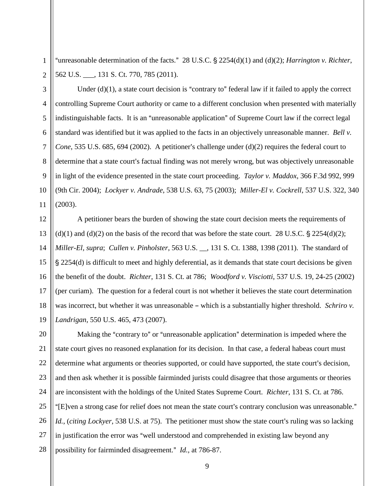"unreasonable determination of the facts." 28 U.S.C.  $\S$  2254(d)(1) and (d)(2); *Harrington v. Richter*, 562 U.S. \_\_\_, 131 S. Ct. 770, 785 (2011).

1

Under  $(d)(1)$ , a state court decision is "contrary to" federal law if it failed to apply the correct controlling Supreme Court authority or came to a different conclusion when presented with materially indistinguishable facts. It is an "unreasonable application" of Supreme Court law if the correct legal standard was identified but it was applied to the facts in an objectively unreasonable manner. *Bell v. Cone*, 535 U.S. 685, 694 (2002). A petitioner's challenge under (d)(2) requires the federal court to determine that a state court's factual finding was not merely wrong, but was objectively unreasonable in light of the evidence presented in the state court proceeding. *Taylor v. Maddox*, 366 F.3d 992, 999 (9th Cir. 2004); *Lockyer v. Andrade*, 538 U.S. 63, 75 (2003); *Miller-El v. Cockrell*, 537 U.S. 322, 340 (2003).

A petitioner bears the burden of showing the state court decision meets the requirements of (d)(1) and (d)(2) on the basis of the record that was before the state court. 28 U.S.C.  $\frac{5}{2}$  2254(d)(2); *Miller-El, supra*; *Cullen v. Pinholster*, 563 U.S. \_\_, 131 S. Ct. 1388, 1398 (2011). The standard of  $\S 2254(d)$  is difficult to meet and highly deferential, as it demands that state court decisions be given the benefit of the doubt. *Richter*, 131 S. Ct. at 786; *Woodford v. Visciotti*, 537 U.S. 19, 24-25 (2002) (per curiam). The question for a federal court is not whether it believes the state court determination was incorrect, but whether it was unreasonable – which is a substantially higher threshold. *Schriro v. Landrigan*, 550 U.S. 465, 473 (2007).

27 28 Making the "contrary to" or "unreasonable application" determination is impeded where the state court gives no reasoned explanation for its decision. In that case, a federal habeas court must determine what arguments or theories supported, or could have supported, the state court's decision, and then ask whether it is possible fairminded jurists could disagree that those arguments or theories are inconsistent with the holdings of the United States Supreme Court. *Richter*, 131 S. Ct. at 786. "[E]ven a strong case for relief does not mean the state court's contrary conclusion was unreasonable." *Id.*, (*citing Lockyer*, 538 U.S. at 75). The petitioner must show the state court's ruling was so lacking in justification the error was "well understood and comprehended in existing law beyond any possibility for fairminded disagreement." *Id.*, at 786-87.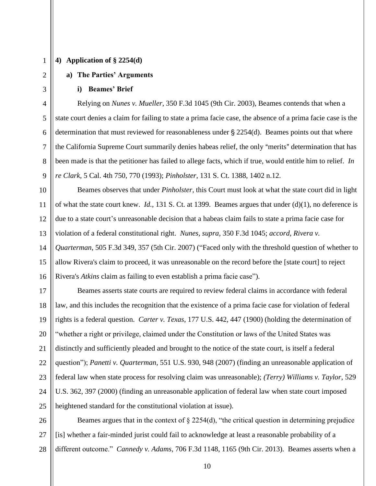## **4) Application of § 2254(d)**

#### **a) The Parties' Arguments**

#### **i) Beames' Brief**

Relying on *Nunes v. Mueller*, 350 F.3d 1045 (9th Cir. 2003), Beames contends that when a state court denies a claim for failing to state a prima facie case, the absence of a prima facie case is the determination that must reviewed for reasonableness under  $\S 2254(d)$ . Beames points out that where the California Supreme Court summarily denies habeas relief, the only "merits" determination that has been made is that the petitioner has failed to allege facts, which if true, would entitle him to relief. *In re Clark*, 5 Cal. 4th 750, 770 (1993); *Pinholster*, 131 S. Ct. 1388, 1402 n.12.

Beames observes that under *Pinholster,* this Court must look at what the state court did in light of what the state court knew. *Id.*, 131 S. Ct. at 1399. Beames argues that under (d)(1), no deference is due to a state court's unreasonable decision that a habeas claim fails to state a prima facie case for violation of a federal constitutional right. *Nunes, supra,* 350 F.3d 1045; *accord, Rivera v. Quarterman*, 505 F.3d 349, 357 (5th Cir. 2007) ("Faced only with the threshold question of whether to allow Rivera's claim to proceed, it was unreasonable on the record before the [state court] to reject Rivera's *Atkins* claim as failing to even establish a prima facie case").

Beames asserts state courts are required to review federal claims in accordance with federal law, and this includes the recognition that the existence of a prima facie case for violation of federal rights is a federal question. *Carter v. Texas*, 177 U.S. 442, 447 (1900) (holding the determination of "whether a right or privilege, claimed under the Constitution or laws of the United States was distinctly and sufficiently pleaded and brought to the notice of the state court, is itself a federal question"); *Panetti v. Quarterman*, 551 U.S. 930, 948 (2007) (finding an unreasonable application of federal law when state process for resolving claim was unreasonable); *(Terry) Williams v. Taylor*, 529 U.S. 362, 397 (2000) (finding an unreasonable application of federal law when state court imposed heightened standard for the constitutional violation at issue).

27 28 Beames argues that in the context of § 2254(d), "the critical question in determining prejudice [is] whether a fair-minded jurist could fail to acknowledge at least a reasonable probability of a different outcome." *Cannedy v. Adams*, 706 F.3d 1148, 1165 (9th Cir. 2013). Beames asserts when a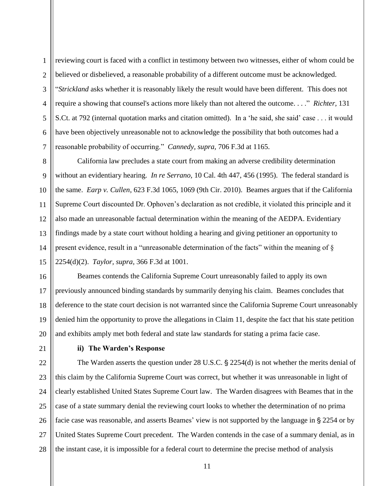reviewing court is faced with a conflict in testimony between two witnesses, either of whom could be believed or disbelieved, a reasonable probability of a different outcome must be acknowledged. "*Strickland* asks whether it is reasonably likely the result would have been different. This does not require a showing that counsel's actions more likely than not altered the outcome. . . ." *Richter,* 131 S.Ct. at 792 (internal quotation marks and citation omitted). In a 'he said, she said' case . . . it would have been objectively unreasonable not to acknowledge the possibility that both outcomes had a reasonable probability of occurring." *Cannedy, supra,* 706 F.3d at 1165.

10 12 13 14 15 California law precludes a state court from making an adverse credibility determination without an evidentiary hearing. *In re Serrano,* 10 Cal. 4th 447, 456 (1995). The federal standard is the same. *Earp v. Cullen*, 623 F.3d 1065, 1069 (9th Cir. 2010). Beames argues that if the California Supreme Court discounted Dr. Ophoven's declaration as not credible, it violated this principle and it also made an unreasonable factual determination within the meaning of the AEDPA. Evidentiary findings made by a state court without holding a hearing and giving petitioner an opportunity to present evidence, result in a "unreasonable determination of the facts" within the meaning of  $\S$ 2254(d)(2). *Taylor, supra,* 366 F.3d at 1001.

16 17 18 19 20 Beames contends the California Supreme Court unreasonably failed to apply its own previously announced binding standards by summarily denying his claim. Beames concludes that deference to the state court decision is not warranted since the California Supreme Court unreasonably denied him the opportunity to prove the allegations in Claim 11, despite the fact that his state petition and exhibits amply met both federal and state law standards for stating a prima facie case.

21 22

1

 $\overline{2}$ 

3

4

5

6

7

8

9

11

# **ii) The Warden's Response**

23 24 25 26 27 28 The Warden asserts the question under  $28$  U.S.C.  $\S$   $2254(d)$  is not whether the merits denial of this claim by the California Supreme Court was correct, but whether it was unreasonable in light of clearly established United States Supreme Court law. The Warden disagrees with Beames that in the case of a state summary denial the reviewing court looks to whether the determination of no prima facie case was reasonable, and asserts Beames' view is not supported by the language in § 2254 or by United States Supreme Court precedent. The Warden contends in the case of a summary denial, as in the instant case, it is impossible for a federal court to determine the precise method of analysis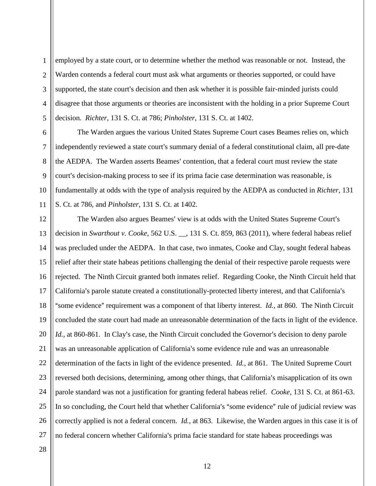1  $\overline{2}$ 3 4 5 employed by a state court, or to determine whether the method was reasonable or not. Instead, the Warden contends a federal court must ask what arguments or theories supported, or could have supported, the state court's decision and then ask whether it is possible fair-minded jurists could disagree that those arguments or theories are inconsistent with the holding in a prior Supreme Court decision. *Richter*, 131 S. Ct. at 786; *Pinholster*, 131 S. Ct. at 1402.

The Warden argues the various United States Supreme Court cases Beames relies on, which independently reviewed a state court's summary denial of a federal constitutional claim, all pre-date the AEDPA. The Warden asserts Beames' contention, that a federal court must review the state court's decision-making process to see if its prima facie case determination was reasonable, is fundamentally at odds with the type of analysis required by the AEDPA as conducted in *Richter*, 131 S. Ct. at 786, and *Pinholster*, 131 S. Ct. at 1402.

12 13 14 15 16 17 18 19 20 21 22 23 24 25 26 27 The Warden also argues Beames' view is at odds with the United States Supreme Court's decision in *Swarthout v. Cooke*, 562 U.S. \_\_, 131 S. Ct. 859, 863 (2011), where federal habeas relief was precluded under the AEDPA. In that case, two inmates, Cooke and Clay, sought federal habeas relief after their state habeas petitions challenging the denial of their respective parole requests were rejected. The Ninth Circuit granted both inmates relief. Regarding Cooke, the Ninth Circuit held that California's parole statute created a constitutionally-protected liberty interest, and that California's "some evidence" requirement was a component of that liberty interest. *Id.*, at 860. The Ninth Circuit concluded the state court had made an unreasonable determination of the facts in light of the evidence. *Id.*, at 860-861. In Clay's case, the Ninth Circuit concluded the Governor's decision to deny parole was an unreasonable application of California's some evidence rule and was an unreasonable determination of the facts in light of the evidence presented. *Id.,* at 861. The United Supreme Court reversed both decisions, determining, among other things, that California's misapplication of its own parole standard was not a justification for granting federal habeas relief. *Cooke*, 131 S. Ct. at 861-63. In so concluding, the Court held that whether California's "some evidence" rule of judicial review was correctly applied is not a federal concern. *Id.*, at 863. Likewise, the Warden argues in this case it is of no federal concern whether California's prima facie standard for state habeas proceedings was

28

6

7

8

9

10

11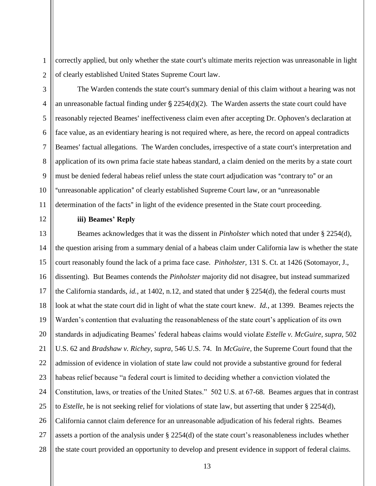correctly applied, but only whether the state court's ultimate merits rejection was unreasonable in light of clearly established United States Supreme Court law.

The Warden contends the state court's summary denial of this claim without a hearing was not an unreasonable factual finding under  $\S 2254(d)(2)$ . The Warden asserts the state court could have reasonably rejected Beames' ineffectiveness claim even after accepting Dr. Ophoven's declaration at face value, as an evidentiary hearing is not required where, as here, the record on appeal contradicts Beames' factual allegations. The Warden concludes, irrespective of a state court's interpretation and application of its own prima facie state habeas standard, a claim denied on the merits by a state court must be denied federal habeas relief unless the state court adjudication was "contrary to" or an "unreasonable application" of clearly established Supreme Court law, or an "unreasonable determination of the facts" in light of the evidence presented in the State court proceeding.

1

# **iii) Beames' Reply**

22 23 24 25 26 27 28 Beames acknowledges that it was the dissent in *Pinholster* which noted that under § 2254(d), the question arising from a summary denial of a habeas claim under California law is whether the state court reasonably found the lack of a prima face case. *Pinholster,* 131 S. Ct. at 1426 (Sotomayor, J., dissenting). But Beames contends the *Pinholster* majority did not disagree, but instead summarized the California standards, *id.*, at 1402, n.12, and stated that under § 2254(d), the federal courts must look at what the state court did in light of what the state court knew. *Id.*, at 1399. Beames rejects the Warden's contention that evaluating the reasonableness of the state court's application of its own standards in adjudicating Beames' federal habeas claims would violate *Estelle v. McGuire, supra,* 502 U.S. 62 and *Bradshaw v. Richey, supra,* 546 U.S. 74. In *McGuire,* the Supreme Court found that the admission of evidence in violation of state law could not provide a substantive ground for federal habeas relief because "a federal court is limited to deciding whether a conviction violated the Constitution, laws, or treaties of the United States." 502 U.S. at 67-68. Beames argues that in contrast to *Estelle*, he is not seeking relief for violations of state law, but asserting that under § 2254(d), California cannot claim deference for an unreasonable adjudication of his federal rights. Beames assets a portion of the analysis under § 2254(d) of the state court's reasonableness includes whether the state court provided an opportunity to develop and present evidence in support of federal claims.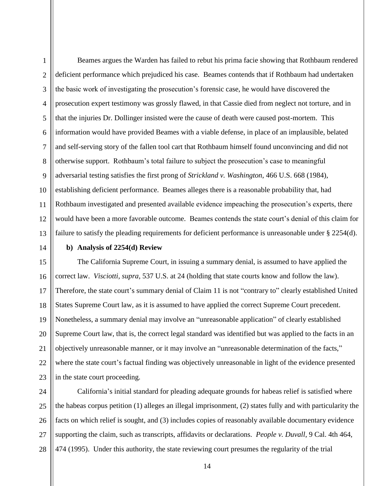1  $\overline{2}$ 3 4 5 6 7 8 9 10 11 12 13 Beames argues the Warden has failed to rebut his prima facie showing that Rothbaum rendered deficient performance which prejudiced his case. Beames contends that if Rothbaum had undertaken the basic work of investigating the prosecution's forensic case, he would have discovered the prosecution expert testimony was grossly flawed, in that Cassie died from neglect not torture, and in that the injuries Dr. Dollinger insisted were the cause of death were caused post-mortem. This information would have provided Beames with a viable defense, in place of an implausible, belated and self-serving story of the fallen tool cart that Rothbaum himself found unconvincing and did not otherwise support. Rothbaum's total failure to subject the prosecution's case to meaningful adversarial testing satisfies the first prong of *Strickland v. Washington*, 466 U.S. 668 (1984), establishing deficient performance. Beames alleges there is a reasonable probability that, had Rothbaum investigated and presented available evidence impeaching the prosecution's experts, there would have been a more favorable outcome. Beames contends the state court's denial of this claim for failure to satisfy the pleading requirements for deficient performance is unreasonable under § 2254(d).

14

# **b) Analysis of 2254(d) Review**

15 16 17 18 19 20 21 22 23 The California Supreme Court, in issuing a summary denial, is assumed to have applied the correct law. *Visciotti, supra,* 537 U.S. at 24 (holding that state courts know and follow the law). Therefore, the state court's summary denial of Claim 11 is not "contrary to" clearly established United States Supreme Court law, as it is assumed to have applied the correct Supreme Court precedent. Nonetheless, a summary denial may involve an "unreasonable application" of clearly established Supreme Court law, that is, the correct legal standard was identified but was applied to the facts in an objectively unreasonable manner, or it may involve an "unreasonable determination of the facts," where the state court's factual finding was objectively unreasonable in light of the evidence presented in the state court proceeding.

24 25 26 27 28 California's initial standard for pleading adequate grounds for habeas relief is satisfied where the habeas corpus petition (1) alleges an illegal imprisonment, (2) states fully and with particularity the facts on which relief is sought, and (3) includes copies of reasonably available documentary evidence supporting the claim, such as transcripts, affidavits or declarations. *People v. Duvall*, 9 Cal. 4th 464, 474 (1995). Under this authority, the state reviewing court presumes the regularity of the trial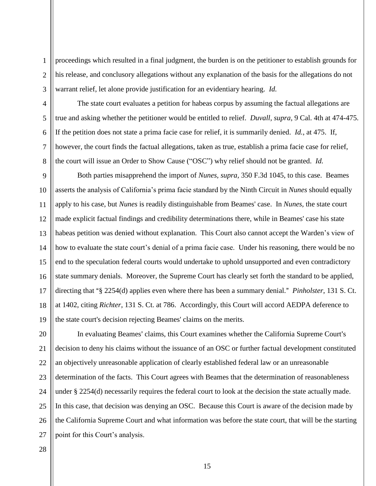proceedings which resulted in a final judgment, the burden is on the petitioner to establish grounds for his release, and conclusory allegations without any explanation of the basis for the allegations do not warrant relief, let alone provide justification for an evidentiary hearing. *Id.*

1

 $\overline{2}$ 

The state court evaluates a petition for habeas corpus by assuming the factual allegations are true and asking whether the petitioner would be entitled to relief. *Duvall, supra,* 9 Cal. 4th at 474-475. If the petition does not state a prima facie case for relief, it is summarily denied. *Id.*, at 475. If, however, the court finds the factual allegations, taken as true, establish a prima facie case for relief, the court will issue an Order to Show Cause ("OSC") why relief should not be granted. *Id.*

Both parties misapprehend the import of *Nunes, supra,* 350 F.3d 1045, to this case. Beames asserts the analysis of California's prima facie standard by the Ninth Circuit in *Nunes* should equally apply to his case, but *Nunes* is readily distinguishable from Beames' case. In *Nunes,* the state court made explicit factual findings and credibility determinations there, while in Beames' case his state habeas petition was denied without explanation. This Court also cannot accept the Warden's view of how to evaluate the state court's denial of a prima facie case. Under his reasoning, there would be no end to the speculation federal courts would undertake to uphold unsupported and even contradictory state summary denials. Moreover, the Supreme Court has clearly set forth the standard to be applied, directing that "§ 2254(d) applies even where there has been a summary denial." *Pinholster*, 131 S. Ct. at 1402, citing *Richter*, 131 S. Ct. at 786. Accordingly, this Court will accord AEDPA deference to the state court's decision rejecting Beames' claims on the merits.

27 In evaluating Beames' claims, this Court examines whether the California Supreme Court's decision to deny his claims without the issuance of an OSC or further factual development constituted an objectively unreasonable application of clearly established federal law or an unreasonable determination of the facts. This Court agrees with Beames that the determination of reasonableness under § 2254(d) necessarily requires the federal court to look at the decision the state actually made. In this case, that decision was denying an OSC. Because this Court is aware of the decision made by the California Supreme Court and what information was before the state court, that will be the starting point for this Court's analysis.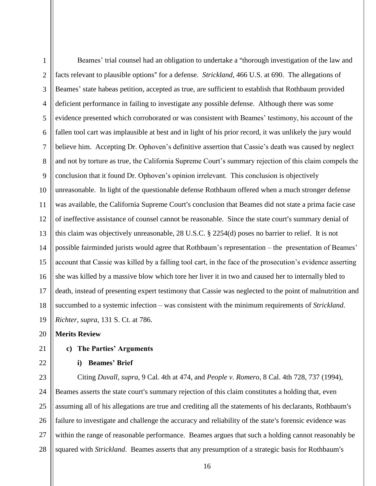1 2 3 4 5 6 7 8 9 10 11 12 13 14 15 16 17 18 19 Beames' trial counsel had an obligation to undertake a "thorough investigation of the law and facts relevant to plausible options" for a defense. *Strickland*, 466 U.S. at 690. The allegations of Beames' state habeas petition, accepted as true, are sufficient to establish that Rothbaum provided deficient performance in failing to investigate any possible defense. Although there was some evidence presented which corroborated or was consistent with Beames' testimony, his account of the fallen tool cart was implausible at best and in light of his prior record, it was unlikely the jury would believe him. Accepting Dr. Ophoven's definitive assertion that Cassie's death was caused by neglect and not by torture as true, the California Supreme Court's summary rejection of this claim compels the conclusion that it found Dr. Ophoven's opinion irrelevant. This conclusion is objectively unreasonable. In light of the questionable defense Rothbaum offered when a much stronger defense was available, the California Supreme Court's conclusion that Beames did not state a prima facie case of ineffective assistance of counsel cannot be reasonable. Since the state court's summary denial of this claim was objectively unreasonable, 28 U.S.C. § 2254(d) poses no barrier to relief. It is not possible fairminded jurists would agree that Rothbaum's representation – the presentation of Beames' account that Cassie was killed by a falling tool cart, in the face of the prosecution's evidence asserting she was killed by a massive blow which tore her liver it in two and caused her to internally bled to death, instead of presenting expert testimony that Cassie was neglected to the point of malnutrition and succumbed to a systemic infection – was consistent with the minimum requirements of *Strickland*. *Richter, supra,* 131 S. Ct. at 786.

20 **Merits Review**

# **c) The Parties' Arguments**

22

21

# **i) Beames' Brief**

23 24 25 26 27 28 Citing *Duvall, supra*, 9 Cal. 4th at 474, and *People v. Romero*, 8 Cal. 4th 728, 737 (1994), Beames asserts the state court's summary rejection of this claim constitutes a holding that, even assuming all of his allegations are true and crediting all the statements of his declarants, Rothbaum's failure to investigate and challenge the accuracy and reliability of the state's forensic evidence was within the range of reasonable performance. Beames argues that such a holding cannot reasonably be squared with *Strickland*. Beames asserts that any presumption of a strategic basis for Rothbaum's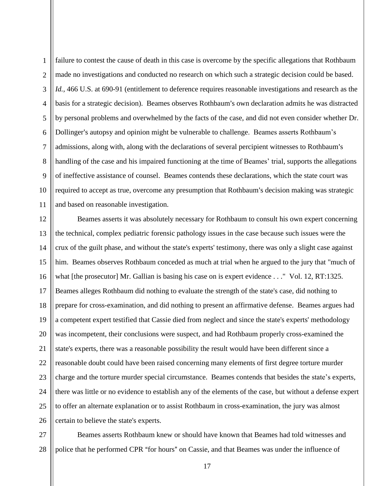1  $\overline{2}$ 3 4 5 6 7 8 9 10 11 failure to contest the cause of death in this case is overcome by the specific allegations that Rothbaum made no investigations and conducted no research on which such a strategic decision could be based. *Id.,* 466 U.S. at 690-91 (entitlement to deference requires reasonable investigations and research as the basis for a strategic decision). Beames observes Rothbaum's own declaration admits he was distracted by personal problems and overwhelmed by the facts of the case, and did not even consider whether Dr. Dollinger's autopsy and opinion might be vulnerable to challenge. Beames asserts Rothbaum's admissions, along with, along with the declarations of several percipient witnesses to Rothbaum's handling of the case and his impaired functioning at the time of Beames' trial, supports the allegations of ineffective assistance of counsel. Beames contends these declarations, which the state court was required to accept as true, overcome any presumption that Rothbaum's decision making was strategic and based on reasonable investigation.

12 13 14 15 16 17 18 19 20 21 22 23 24 25 26 Beames asserts it was absolutely necessary for Rothbaum to consult his own expert concerning the technical, complex pediatric forensic pathology issues in the case because such issues were the crux of the guilt phase, and without the state's experts' testimony, there was only a slight case against him. Beames observes Rothbaum conceded as much at trial when he argued to the jury that "much of what [the prosecutor] Mr. Gallian is basing his case on is expert evidence . . . "Vol. 12, RT:1325. Beames alleges Rothbaum did nothing to evaluate the strength of the state's case, did nothing to prepare for cross-examination, and did nothing to present an affirmative defense. Beames argues had a competent expert testified that Cassie died from neglect and since the state's experts' methodology was incompetent, their conclusions were suspect, and had Rothbaum properly cross-examined the state's experts, there was a reasonable possibility the result would have been different since a reasonable doubt could have been raised concerning many elements of first degree torture murder charge and the torture murder special circumstance. Beames contends that besides the state's experts, there was little or no evidence to establish any of the elements of the case, but without a defense expert to offer an alternate explanation or to assist Rothbaum in cross-examination, the jury was almost certain to believe the state's experts.

27 28 Beames asserts Rothbaum knew or should have known that Beames had told witnesses and police that he performed CPR "for hours" on Cassie, and that Beames was under the influence of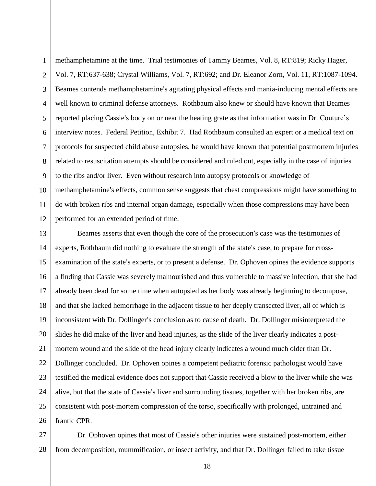1  $\overline{2}$ 3 4 5 6 7 8 9 10 11 12 methamphetamine at the time. Trial testimonies of Tammy Beames, Vol. 8, RT:819; Ricky Hager, Vol. 7, RT:637-638; Crystal Williams, Vol. 7, RT:692; and Dr. Eleanor Zorn, Vol. 11, RT:1087-1094. Beames contends methamphetamine's agitating physical effects and mania-inducing mental effects are well known to criminal defense attorneys. Rothbaum also knew or should have known that Beames reported placing Cassie's body on or near the heating grate as that information was in Dr. Couture's interview notes. Federal Petition, Exhibit 7. Had Rothbaum consulted an expert or a medical text on protocols for suspected child abuse autopsies, he would have known that potential postmortem injuries related to resuscitation attempts should be considered and ruled out, especially in the case of injuries to the ribs and/or liver. Even without research into autopsy protocols or knowledge of methamphetamine's effects, common sense suggests that chest compressions might have something to do with broken ribs and internal organ damage, especially when those compressions may have been performed for an extended period of time.

13 14 15 16 17 18 19 20 21 22 23 24 25 26 Beames asserts that even though the core of the prosecution's case was the testimonies of experts, Rothbaum did nothing to evaluate the strength of the state's case, to prepare for crossexamination of the state's experts, or to present a defense. Dr. Ophoven opines the evidence supports a finding that Cassie was severely malnourished and thus vulnerable to massive infection, that she had already been dead for some time when autopsied as her body was already beginning to decompose, and that she lacked hemorrhage in the adjacent tissue to her deeply transected liver, all of which is inconsistent with Dr. Dollinger's conclusion as to cause of death. Dr. Dollinger misinterpreted the slides he did make of the liver and head injuries, as the slide of the liver clearly indicates a postmortem wound and the slide of the head injury clearly indicates a wound much older than Dr. Dollinger concluded. Dr. Ophoven opines a competent pediatric forensic pathologist would have testified the medical evidence does not support that Cassie received a blow to the liver while she was alive, but that the state of Cassie's liver and surrounding tissues, together with her broken ribs, are consistent with post-mortem compression of the torso, specifically with prolonged, untrained and frantic CPR.

27 28 Dr. Ophoven opines that most of Cassie's other injuries were sustained post-mortem, either from decomposition, mummification, or insect activity, and that Dr. Dollinger failed to take tissue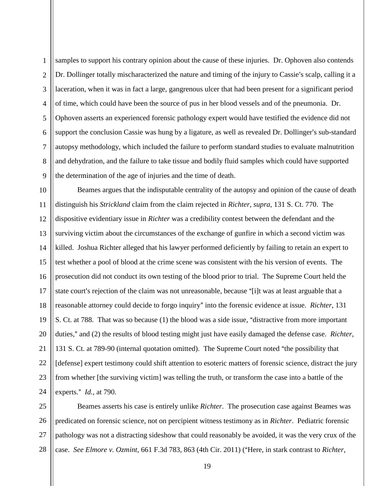1  $\overline{2}$ 3 4 5 6 7 8 9 samples to support his contrary opinion about the cause of these injuries. Dr. Ophoven also contends Dr. Dollinger totally mischaracterized the nature and timing of the injury to Cassie's scalp, calling it a laceration, when it was in fact a large, gangrenous ulcer that had been present for a significant period of time, which could have been the source of pus in her blood vessels and of the pneumonia. Dr. Ophoven asserts an experienced forensic pathology expert would have testified the evidence did not support the conclusion Cassie was hung by a ligature, as well as revealed Dr. Dollinger's sub-standard autopsy methodology, which included the failure to perform standard studies to evaluate malnutrition and dehydration, and the failure to take tissue and bodily fluid samples which could have supported the determination of the age of injuries and the time of death.

10 11 12 13 14 15 16 17 18 19 20 21 22 23 24 Beames argues that the indisputable centrality of the autopsy and opinion of the cause of death distinguish his *Strickland* claim from the claim rejected in *Richter, supra,* 131 S. Ct. 770. The dispositive evidentiary issue in *Richter* was a credibility contest between the defendant and the surviving victim about the circumstances of the exchange of gunfire in which a second victim was killed. Joshua Richter alleged that his lawyer performed deficiently by failing to retain an expert to test whether a pool of blood at the crime scene was consistent with the his version of events. The prosecution did not conduct its own testing of the blood prior to trial. The Supreme Court held the state court's rejection of the claim was not unreasonable, because "[i]t was at least arguable that a reasonable attorney could decide to forgo inquiry" into the forensic evidence at issue. *Richter*, 131 S. Ct. at 788. That was so because (1) the blood was a side issue, "distractive from more important duties," and (2) the results of blood testing might just have easily damaged the defense case. *Richter*, 131 S. Ct. at 789-90 (internal quotation omitted). The Supreme Court noted "the possibility that [defense] expert testimony could shift attention to esoteric matters of forensic science, distract the jury from whether [the surviving victim] was telling the truth, or transform the case into a battle of the experts." *Id.*, at 790.

25 26 27 28 Beames asserts his case is entirely unlike *Richter*. The prosecution case against Beames was predicated on forensic science, not on percipient witness testimony as in *Richter*. Pediatric forensic pathology was not a distracting sideshow that could reasonably be avoided, it was the very crux of the case. *See Elmore v. Ozmint*, 661 F.3d 783, 863 (4th Cir. 2011) ("Here, in stark contrast to *Richter*,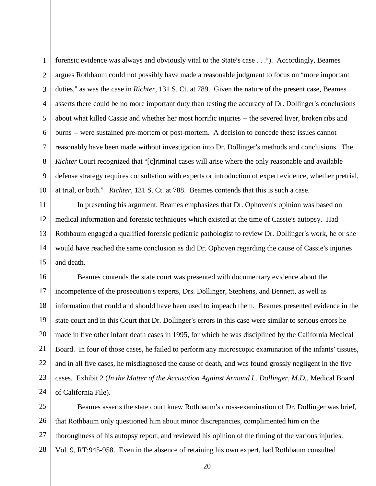1

 $\overline{2}$ 

3

4

forensic evidence was always and obviously vital to the State's case . . ."). Accordingly, Beames argues Rothbaum could not possibly have made a reasonable judgment to focus on "more important" duties," as was the case in *Richter*, 131 S. Ct. at 789. Given the nature of the present case, Beames asserts there could be no more important duty than testing the accuracy of Dr. Dollinger's conclusions about what killed Cassie and whether her most horrific injuries -- the severed liver, broken ribs and burns -- were sustained pre-mortem or post-mortem. A decision to concede these issues cannot reasonably have been made without investigation into Dr. Dollinger's methods and conclusions. The *Richter* Court recognized that "[c]riminal cases will arise where the only reasonable and available defense strategy requires consultation with experts or introduction of expert evidence, whether pretrial, at trial, or both.@ *Richter*, 131 S. Ct. at 788. Beames contends that this is such a case.

In presenting his argument, Beames emphasizes that Dr. Ophoven's opinion was based on medical information and forensic techniques which existed at the time of Cassie's autopsy. Had Rothbaum engaged a qualified forensic pediatric pathologist to review Dr. Dollinger's work, he or she would have reached the same conclusion as did Dr. Ophoven regarding the cause of Cassie's injuries and death.

24 Beames contends the state court was presented with documentary evidence about the incompetence of the prosecution's experts, Drs. Dollinger, Stephens, and Bennett, as well as information that could and should have been used to impeach them. Beames presented evidence in the state court and in this Court that Dr. Dollinger's errors in this case were similar to serious errors he made in five other infant death cases in 1995, for which he was disciplined by the California Medical Board. In four of those cases, he failed to perform any microscopic examination of the infants' tissues, and in all five cases, he misdiagnosed the cause of death, and was found grossly negligent in the five cases. Exhibit 2 (*In the Matter of the Accusation Against Armand L. Dollinger, M.D.*, Medical Board of California File).

25 26 27 28 Beames asserts the state court knew Rothbaum's cross-examination of Dr. Dollinger was brief, that Rothbaum only questioned him about minor discrepancies, complimented him on the thoroughness of his autopsy report, and reviewed his opinion of the timing of the various injuries. Vol. 9, RT:945-958. Even in the absence of retaining his own expert, had Rothbaum consulted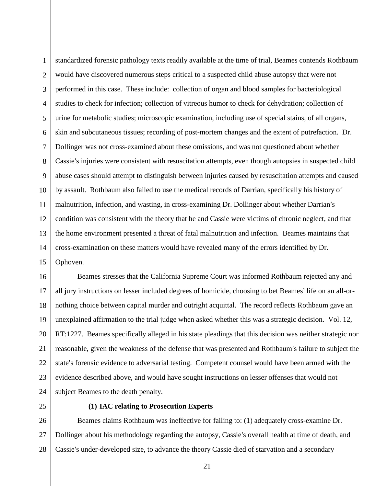1  $\overline{2}$ 3 4 5 6 7 8 9 10 11 12 13 14 15 standardized forensic pathology texts readily available at the time of trial, Beames contends Rothbaum would have discovered numerous steps critical to a suspected child abuse autopsy that were not performed in this case. These include: collection of organ and blood samples for bacteriological studies to check for infection; collection of vitreous humor to check for dehydration; collection of urine for metabolic studies; microscopic examination, including use of special stains, of all organs, skin and subcutaneous tissues; recording of post-mortem changes and the extent of putrefaction. Dr. Dollinger was not cross-examined about these omissions, and was not questioned about whether Cassie's injuries were consistent with resuscitation attempts, even though autopsies in suspected child abuse cases should attempt to distinguish between injuries caused by resuscitation attempts and caused by assault. Rothbaum also failed to use the medical records of Darrian, specifically his history of malnutrition, infection, and wasting, in cross-examining Dr. Dollinger about whether Darrian's condition was consistent with the theory that he and Cassie were victims of chronic neglect, and that the home environment presented a threat of fatal malnutrition and infection. Beames maintains that cross-examination on these matters would have revealed many of the errors identified by Dr. Ophoven.

16 17 18 19 20 21 22 23 24 Beames stresses that the California Supreme Court was informed Rothbaum rejected any and all jury instructions on lesser included degrees of homicide, choosing to bet Beames' life on an all-ornothing choice between capital murder and outright acquittal. The record reflects Rothbaum gave an unexplained affirmation to the trial judge when asked whether this was a strategic decision. Vol. 12, RT:1227. Beames specifically alleged in his state pleadings that this decision was neither strategic nor reasonable, given the weakness of the defense that was presented and Rothbaum's failure to subject the state's forensic evidence to adversarial testing. Competent counsel would have been armed with the evidence described above, and would have sought instructions on lesser offenses that would not subject Beames to the death penalty.

25

# **(1) IAC relating to Prosecution Experts**

26 27 28 Beames claims Rothbaum was ineffective for failing to: (1) adequately cross-examine Dr. Dollinger about his methodology regarding the autopsy, Cassie's overall health at time of death, and Cassie's under-developed size, to advance the theory Cassie died of starvation and a secondary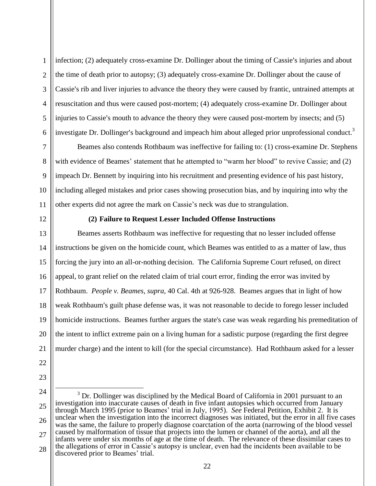1  $\overline{2}$ 3 4 5 6 infection; (2) adequately cross-examine Dr. Dollinger about the timing of Cassie's injuries and about the time of death prior to autopsy; (3) adequately cross-examine Dr. Dollinger about the cause of Cassie's rib and liver injuries to advance the theory they were caused by frantic, untrained attempts at resuscitation and thus were caused post-mortem; (4) adequately cross-examine Dr. Dollinger about injuries to Cassie's mouth to advance the theory they were caused post-mortem by insects; and (5) investigate Dr. Dollinger's background and impeach him about alleged prior unprofessional conduct.<sup>3</sup>

Beames also contends Rothbaum was ineffective for failing to: (1) cross-examine Dr. Stephens with evidence of Beames' statement that he attempted to "warm her blood" to revive Cassie; and (2) impeach Dr. Bennett by inquiring into his recruitment and presenting evidence of his past history, including alleged mistakes and prior cases showing prosecution bias, and by inquiring into why the other experts did not agree the mark on Cassie's neck was due to strangulation.

12

7

8

9

10

11

# **(2) Failure to Request Lesser Included Offense Instructions**

13 14 15 16 17 18 19 20 21 Beames asserts Rothbaum was ineffective for requesting that no lesser included offense instructions be given on the homicide count, which Beames was entitled to as a matter of law, thus forcing the jury into an all-or-nothing decision. The California Supreme Court refused, on direct appeal, to grant relief on the related claim of trial court error, finding the error was invited by Rothbaum. *People v. Beames, supra*, 40 Cal. 4th at 926-928. Beames argues that in light of how weak Rothbaum's guilt phase defense was, it was not reasonable to decide to forego lesser included homicide instructions. Beames further argues the state's case was weak regarding his premeditation of the intent to inflict extreme pain on a living human for a sadistic purpose (regarding the first degree murder charge) and the intent to kill (for the special circumstance). Had Rothbaum asked for a lesser

- 22
- 23
- 24

 $\overline{a}$ 

25 26 27 28  $3$  Dr. Dollinger was disciplined by the Medical Board of California in 2001 pursuant to an investigation into inaccurate causes of death in five infant autopsies which occurred from January through March 1995 (prior to Beames' trial in July, 1995). *See* Federal Petition, Exhibit 2. It is unclear when the investigation into the incorrect diagnoses was initiated, but the error in all five cases was the same, the failure to properly diagnose coarctation of the aorta (narrowing of the blood vessel caused by malformation of tissue that projects into the lumen or channel of the aorta), and all the infants were under six months of age at the time of death. The relevance of these dissimilar cases to the allegations of error in Cassie's autopsy is unclear, even had the incidents been available to be discovered prior to Beames' trial.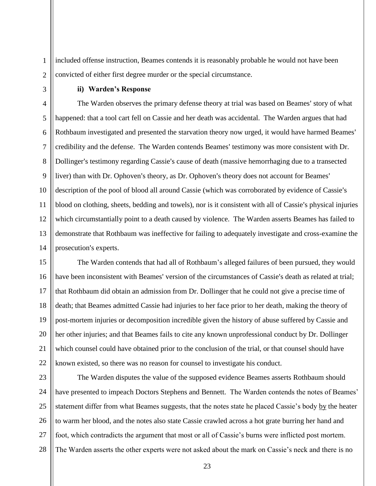included offense instruction, Beames contends it is reasonably probable he would not have been convicted of either first degree murder or the special circumstance.

1

#### **ii) Warden's Response**

The Warden observes the primary defense theory at trial was based on Beames' story of what happened: that a tool cart fell on Cassie and her death was accidental. The Warden argues that had Rothbaum investigated and presented the starvation theory now urged, it would have harmed Beames' credibility and the defense. The Warden contends Beames' testimony was more consistent with Dr. Dollinger's testimony regarding Cassie's cause of death (massive hemorrhaging due to a transected liver) than with Dr. Ophoven's theory, as Dr. Ophoven's theory does not account for Beames' description of the pool of blood all around Cassie (which was corroborated by evidence of Cassie's blood on clothing, sheets, bedding and towels), nor is it consistent with all of Cassie's physical injuries which circumstantially point to a death caused by violence. The Warden asserts Beames has failed to demonstrate that Rothbaum was ineffective for failing to adequately investigate and cross-examine the prosecution's experts.

The Warden contends that had all of Rothbaum's alleged failures of been pursued, they would have been inconsistent with Beames' version of the circumstances of Cassie's death as related at trial; that Rothbaum did obtain an admission from Dr. Dollinger that he could not give a precise time of death; that Beames admitted Cassie had injuries to her face prior to her death, making the theory of post-mortem injuries or decomposition incredible given the history of abuse suffered by Cassie and her other injuries; and that Beames fails to cite any known unprofessional conduct by Dr. Dollinger which counsel could have obtained prior to the conclusion of the trial, or that counsel should have known existed, so there was no reason for counsel to investigate his conduct.

27 28 The Warden disputes the value of the supposed evidence Beames asserts Rothbaum should have presented to impeach Doctors Stephens and Bennett. The Warden contends the notes of Beames' statement differ from what Beames suggests, that the notes state he placed Cassie's body by the heater to warm her blood, and the notes also state Cassie crawled across a hot grate burring her hand and foot, which contradicts the argument that most or all of Cassie's burns were inflicted post mortem. The Warden asserts the other experts were not asked about the mark on Cassie's neck and there is no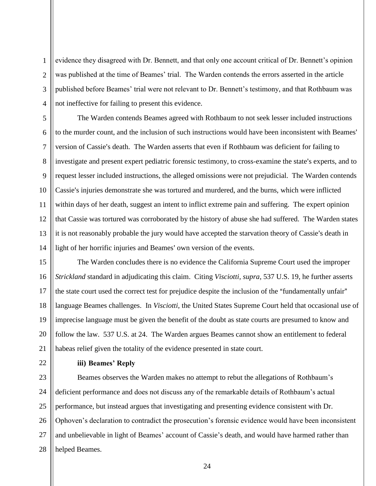evidence they disagreed with Dr. Bennett, and that only one account critical of Dr. Bennett's opinion was published at the time of Beames' trial. The Warden contends the errors asserted in the article published before Beames' trial were not relevant to Dr. Bennett's testimony, and that Rothbaum was not ineffective for failing to present this evidence.

8 10 12 13 14 The Warden contends Beames agreed with Rothbaum to not seek lesser included instructions to the murder count, and the inclusion of such instructions would have been inconsistent with Beames' version of Cassie's death. The Warden asserts that even if Rothbaum was deficient for failing to investigate and present expert pediatric forensic testimony, to cross-examine the state's experts, and to request lesser included instructions, the alleged omissions were not prejudicial. The Warden contends Cassie's injuries demonstrate she was tortured and murdered, and the burns, which were inflicted within days of her death, suggest an intent to inflict extreme pain and suffering. The expert opinion that Cassie was tortured was corroborated by the history of abuse she had suffered. The Warden states it is not reasonably probable the jury would have accepted the starvation theory of Cassie's death in light of her horrific injuries and Beames' own version of the events.

15 16 17 18 19 20 21 The Warden concludes there is no evidence the California Supreme Court used the improper *Strickland* standard in adjudicating this claim. Citing *Visciotti, supra*, 537 U.S. 19, he further asserts the state court used the correct test for prejudice despite the inclusion of the "fundamentally unfair" language Beames challenges. In *Visciotti*, the United States Supreme Court held that occasional use of imprecise language must be given the benefit of the doubt as state courts are presumed to know and follow the law. 537 U.S. at 24. The Warden argues Beames cannot show an entitlement to federal habeas relief given the totality of the evidence presented in state court.

22

1

 $\overline{2}$ 

3

4

5

6

7

 $\overline{Q}$ 

11

# **iii) Beames' Reply**

23 24 25 26 27 28 Beames observes the Warden makes no attempt to rebut the allegations of Rothbaum's deficient performance and does not discuss any of the remarkable details of Rothbaum's actual performance, but instead argues that investigating and presenting evidence consistent with Dr. Ophoven's declaration to contradict the prosecution's forensic evidence would have been inconsistent and unbelievable in light of Beames' account of Cassie's death, and would have harmed rather than helped Beames.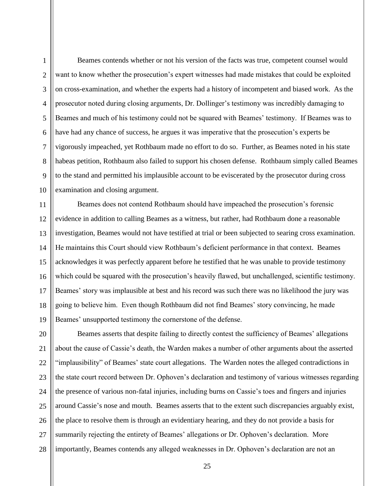1

 $\overline{2}$ 

Beames contends whether or not his version of the facts was true, competent counsel would want to know whether the prosecution's expert witnesses had made mistakes that could be exploited on cross-examination, and whether the experts had a history of incompetent and biased work. As the prosecutor noted during closing arguments, Dr. Dollinger's testimony was incredibly damaging to Beames and much of his testimony could not be squared with Beames' testimony. If Beames was to have had any chance of success, he argues it was imperative that the prosecution's experts be vigorously impeached, yet Rothbaum made no effort to do so. Further, as Beames noted in his state habeas petition, Rothbaum also failed to support his chosen defense. Rothbaum simply called Beames to the stand and permitted his implausible account to be eviscerated by the prosecutor during cross examination and closing argument.

17 18 19 Beames does not contend Rothbaum should have impeached the prosecution's forensic evidence in addition to calling Beames as a witness, but rather, had Rothbaum done a reasonable investigation, Beames would not have testified at trial or been subjected to searing cross examination. He maintains this Court should view Rothbaum's deficient performance in that context. Beames acknowledges it was perfectly apparent before he testified that he was unable to provide testimony which could be squared with the prosecution's heavily flawed, but unchallenged, scientific testimony. Beames' story was implausible at best and his record was such there was no likelihood the jury was going to believe him. Even though Rothbaum did not find Beames' story convincing, he made Beames' unsupported testimony the cornerstone of the defense.

20 21 22 23 24 25 26 27 28 Beames asserts that despite failing to directly contest the sufficiency of Beames' allegations about the cause of Cassie's death, the Warden makes a number of other arguments about the asserted "implausibility" of Beames' state court allegations. The Warden notes the alleged contradictions in the state court record between Dr. Ophoven's declaration and testimony of various witnesses regarding the presence of various non-fatal injuries, including burns on Cassie's toes and fingers and injuries around Cassie's nose and mouth. Beames asserts that to the extent such discrepancies arguably exist, the place to resolve them is through an evidentiary hearing, and they do not provide a basis for summarily rejecting the entirety of Beames' allegations or Dr. Ophoven's declaration. More importantly, Beames contends any alleged weaknesses in Dr. Ophoven's declaration are not an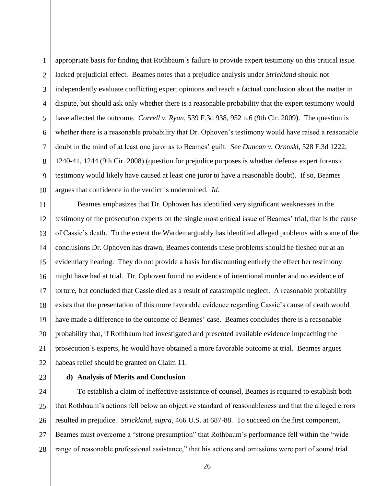1

 $\overline{2}$ 

3

4

5

23

# **d) Analysis of Merits and Conclusion**

24 25 26 27 28 To establish a claim of ineffective assistance of counsel, Beames is required to establish both that Rothbaum's actions fell below an objective standard of reasonableness and that the alleged errors resulted in prejudice. *Strickland, supra*, 466 U.S. at 687-88. To succeed on the first component, Beames must overcome a "strong presumption" that Rothbaum's performance fell within the "wide range of reasonable professional assistance," that his actions and omissions were part of sound trial

appropriate basis for finding that Rothbaum's failure to provide expert testimony on this critical issue lacked prejudicial effect. Beames notes that a prejudice analysis under *Strickland* should not independently evaluate conflicting expert opinions and reach a factual conclusion about the matter in dispute, but should ask only whether there is a reasonable probability that the expert testimony would have affected the outcome. *Correll v. Ryan,* 539 F.3d 938, 952 n.6 (9th Cir. 2009). The question is whether there is a reasonable probability that Dr. Ophoven's testimony would have raised a reasonable doubt in the mind of at least one juror as to Beames' guilt. *See Duncan v. Ornoski*, 528 F.3d 1222, 1240-41, 1244 (9th Cir. 2008) (question for prejudice purposes is whether defense expert forensic testimony would likely have caused at least one juror to have a reasonable doubt). If so, Beames argues that confidence in the verdict is undermined. *Id.*

21 22 Beames emphasizes that Dr. Ophoven has identified very significant weaknesses in the testimony of the prosecution experts on the single most critical issue of Beames' trial, that is the cause of Cassie's death. To the extent the Warden arguably has identified alleged problems with some of the conclusions Dr. Ophoven has drawn, Beames contends these problems should be fleshed out at an evidentiary hearing. They do not provide a basis for discounting entirely the effect her testimony might have had at trial. Dr. Ophoven found no evidence of intentional murder and no evidence of torture, but concluded that Cassie died as a result of catastrophic neglect. A reasonable probability exists that the presentation of this more favorable evidence regarding Cassie's cause of death would have made a difference to the outcome of Beames' case. Beames concludes there is a reasonable probability that, if Rothbaum had investigated and presented available evidence impeaching the prosecution's experts, he would have obtained a more favorable outcome at trial. Beames argues habeas relief should be granted on Claim 11.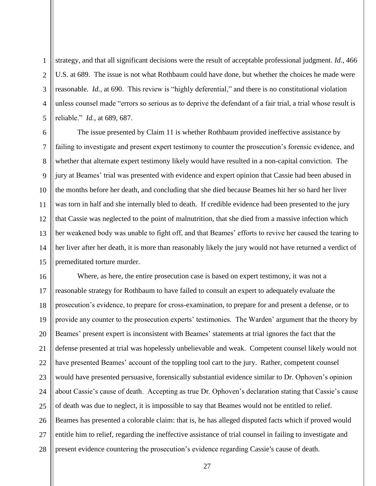strategy, and that all significant decisions were the result of acceptable professional judgment. *Id.*, 466 U.S. at 689. The issue is not what Rothbaum could have done, but whether the choices he made were reasonable. *Id.*, at 690. This review is "highly deferential," and there is no constitutional violation unless counsel made "errors so serious as to deprive the defendant of a fair trial, a trial whose result is reliable." *Id.*, at 689, 687.

1

 $\overline{2}$ 

3

4

5

6 7 8 9 10 11 12 13 14 15 The issue presented by Claim 11 is whether Rothbaum provided ineffective assistance by failing to investigate and present expert testimony to counter the prosecution's forensic evidence, and whether that alternate expert testimony likely would have resulted in a non-capital conviction. The jury at Beames' trial was presented with evidence and expert opinion that Cassie had been abused in the months before her death, and concluding that she died because Beames hit her so hard her liver was torn in half and she internally bled to death. If credible evidence had been presented to the jury that Cassie was neglected to the point of malnutrition, that she died from a massive infection which her weakened body was unable to fight off, and that Beames' efforts to revive her caused the tearing to her liver after her death, it is more than reasonably likely the jury would not have returned a verdict of premeditated torture murder.

16 17 18 19 20 21 22 23 24 25 26 27 28 Where, as here, the entire prosecution case is based on expert testimony, it was not a reasonable strategy for Rothbaum to have failed to consult an expert to adequately evaluate the prosecution's evidence, to prepare for cross-examination, to prepare for and present a defense, or to provide any counter to the prosecution experts' testimonies. The Warden' argument that the theory by Beames' present expert is inconsistent with Beames' statements at trial ignores the fact that the defense presented at trial was hopelessly unbelievable and weak. Competent counsel likely would not have presented Beames' account of the toppling tool cart to the jury. Rather, competent counsel would have presented persuasive, forensically substantial evidence similar to Dr. Ophoven's opinion about Cassie's cause of death. Accepting as true Dr. Ophoven's declaration stating that Cassie's cause of death was due to neglect, it is impossible to say that Beames would not be entitled to relief. Beames has presented a colorable claim: that is, he has alleged disputed facts which if proved would entitle him to relief, regarding the ineffective assistance of trial counsel in failing to investigate and present evidence countering the prosecution's evidence regarding Cassie's cause of death.